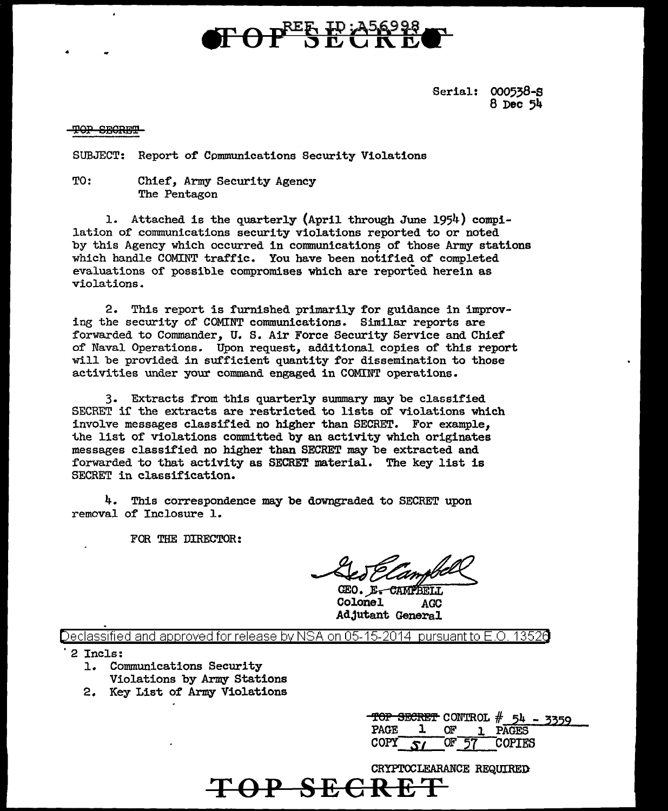# **TOPER ID: A56998**

Serial: 000538-S 8 Dec 54

#### <del>TOP SECRET</del>

•

SUBJECT: Report of Cpmmunications Security Violations

TO: Chief, Army Security Agency The Pentagon

1. Attached is the quarterly (April through June 1954) compilation of communications security violations reported to or noted by this Agency which occurred in communications of those Army stations which handle COMINT traffic. You have been notified of completed evaluations of possible compromises which are reported herein as violations.

2. This report is furnished primarily for guidance in improving the security of COMINT communications. Similar reports are forwarded to Commander, U. S. Air Force Security Service and Chief of Naval Operations. Upon request, additional copies of this report will be provided in sufficient quantity for dissemination to those activities under your command engaged in COMINT operations.

3. Extracts from this quarterly summary may be classified SECRET it the extracts are restricted to lists of violations which involve messages classified no higher than SECRET. For example, the list of violations committed by an activity which originates messages classified no higher than SECRET may be extracted and forwarded to that activity as SECRET material. The key list is SECRET in classification.

4. This correspondence may be downgraded to SECRET upon removal of Inclosure 1.

FOR THE DIRECTOR:

GEO. E. CAMPBE Colonel AGC AdJutant General

Declassified and approved for release by NSA on 05-15-2014  $\,$  pursuant to E.O. 1352 $0$ 

**TOP SECRE** 

· 2 Incls:

- 1. Communications Security Violations by Army Stations
- 2. Key List of Army Violations

|             |      | TOP SECRET CONTROL $#$ 54 - 3359 |  |
|-------------|------|----------------------------------|--|
| <b>PAGE</b> | ለም - | PAGES                            |  |
| COPY        | `H'  | <b>COPTES</b>                    |  |

CRYPTOCLEARANCE REQUIREI>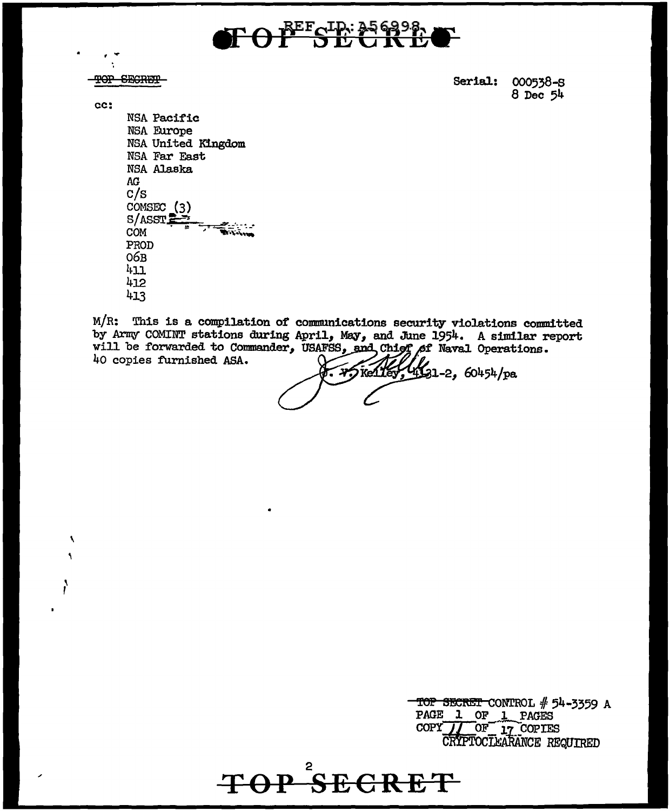

TOP SECRET

Serial: 000538-S  $8$  Dec  $54$ 

cc:

 $\boldsymbol{\mathcal{N}}$ A

NSA Pacific NSA Europe NSA United Kingdom NSA Far East NSA Alaska AG.  $c/s$ COMSEC (3)  $S/ASST$ COM PROD  $O6B$  $411$ 412 413

M/R: This is a compilation of communications security violations committed by Army COMINT stations during April, May, and June 1954. A similar report will be forwarded to Commander, USAFSS, and Chief of Naval Operations. 40 copies furnished ASA.

TOP<sup>2</sup>SECRET

 $4931-2,60454$ /pa  $\sim$   $\chi$   $\sim$   $\chi$   $\sim$   $\chi$   $\sim$   $\chi$ 

TOP SECRET CONTROL # 54-3359 A PAGE 1 OF 1 PAGES COPY JJ OF 17 COPIES<br>CRIPTOCLEARANCE REQUIRED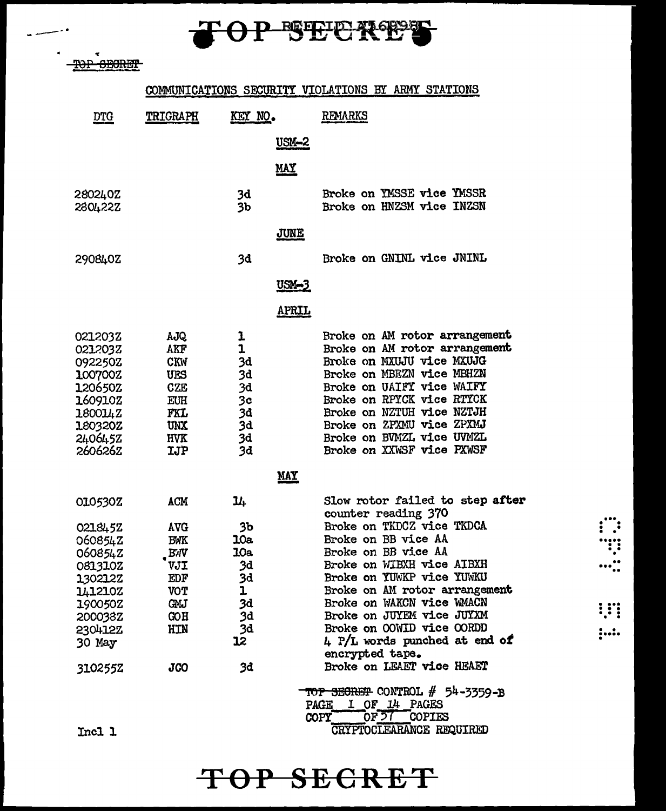# TOP SECRES

TOP SECRET

## COMMUNICATIONS SECURITY VIOLATIONS BY ARMY STATIONS

| <b>DTG</b>                                                                                                           | TRIGRAPH                                                                                       | KEY NO.                                                         | <b>REMARKS</b>                                                                                                                                                                                                                                                                                                                                                                                                      |
|----------------------------------------------------------------------------------------------------------------------|------------------------------------------------------------------------------------------------|-----------------------------------------------------------------|---------------------------------------------------------------------------------------------------------------------------------------------------------------------------------------------------------------------------------------------------------------------------------------------------------------------------------------------------------------------------------------------------------------------|
|                                                                                                                      |                                                                                                | <u>USM-2</u>                                                    |                                                                                                                                                                                                                                                                                                                                                                                                                     |
|                                                                                                                      |                                                                                                | <u>MAY</u>                                                      |                                                                                                                                                                                                                                                                                                                                                                                                                     |
| 2802402<br>280422Z                                                                                                   |                                                                                                | 3d<br>3b                                                        | Broke on YMSSE vice YMSSR<br>Broke on HNZSM vice INZSN                                                                                                                                                                                                                                                                                                                                                              |
|                                                                                                                      |                                                                                                | <b>JUNE</b>                                                     |                                                                                                                                                                                                                                                                                                                                                                                                                     |
| 290840Z                                                                                                              |                                                                                                | 3d                                                              | Broke on GNINL vice JNINL                                                                                                                                                                                                                                                                                                                                                                                           |
|                                                                                                                      |                                                                                                | <u>USM-3</u>                                                    |                                                                                                                                                                                                                                                                                                                                                                                                                     |
|                                                                                                                      |                                                                                                | <b>APRIL</b>                                                    |                                                                                                                                                                                                                                                                                                                                                                                                                     |
| 0212032<br>0212032<br>092250Z<br>1007002<br>120650Z<br>160910Z<br>180014Z<br>180320Z<br>2406452<br>260626Z           | AJQ<br>AKF<br><b>CKW</b><br>UES<br><b>CZE</b><br>EUH<br>FXL<br>UNX<br><b>HVK</b><br><b>IJP</b> | ı<br>ı<br>3d<br>3d<br>3d<br>3c<br>3d<br>3d<br>3d<br>3d          | Broke on AM rotor arrangement<br>Broke on AM rotor arrangement<br>Broke on MXUJU vice MXUJG<br>Broke on MBEZN vice MBHZN<br>Broke on UAIFY vice WAIFY<br>Broke on RPYCK vice RTYCK<br>Broke on NZTUH vice NZTJH<br>Broke on ZPXMU vice ZPXMJ<br>Broke on BVMZL vice UVMZL<br>Broke on XXWSF vice PXWSF                                                                                                              |
|                                                                                                                      |                                                                                                | <u>MAY</u>                                                      |                                                                                                                                                                                                                                                                                                                                                                                                                     |
| 010530Z                                                                                                              | <b>ACM</b>                                                                                     | 14                                                              | Slow rotor failed to step after<br>counter reading 370                                                                                                                                                                                                                                                                                                                                                              |
| 0218452<br>060854Z<br>060854Z<br>0813102<br>130212Z<br>141210Z<br>190050Z<br>200038Z<br>230412Z<br>30 May<br>310255Z | <b>AVG</b><br><b>BWK</b><br><b>BW</b><br>VJI<br>EDF<br>VOT<br>œи<br>COH<br>HIN<br>JCO          | 3b<br>10a<br>10a<br>3d<br>3d<br>ı<br>3d<br>3d<br>3d<br>12<br>3d | Broke on TKDCZ vice TKDCA<br>Broke on BB vice AA<br>Broke on BB vice AA<br>Broke on WIBXH vice AIBXH<br>Broke on YUWKP vice YUWKU<br>Broke on AM rotor arrangement<br>Broke on WAKCN vice WMACN<br>Broke on JUYEM vice JUYAM<br>Broke on OOWID vice OORDD<br>$\mu$ P/L words punched at end of<br>encrypted tape.<br>Broke on LEAET vice HEAET<br>- <del>TOP SECRET</del> CONTROL # 54-3359-B<br>PAGE 1 OF 14 PAGES |
| Tncl 1                                                                                                               |                                                                                                |                                                                 | OF 57 COPIES<br>COPY <sup>-</sup><br>CRYPTOCLEARANCE REQUIRED                                                                                                                                                                                                                                                                                                                                                       |

TOP SECRET

**WE** 

 $\dots$ 

Incl 1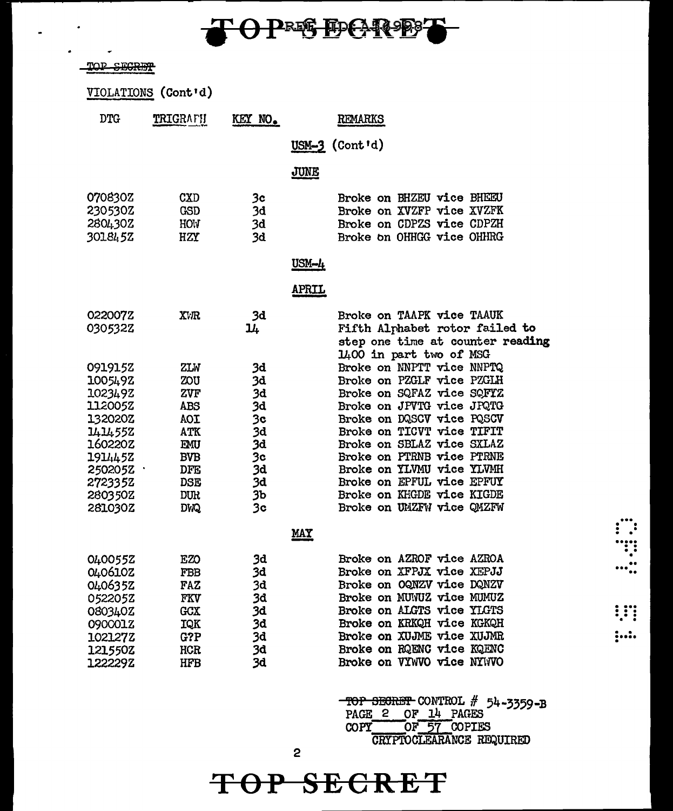

 $\blacksquare$ 

 $\bullet$  $\overline{a}$ 

| SEGI<br>TOR                              |                                 |                      |                                                                                                                            |
|------------------------------------------|---------------------------------|----------------------|----------------------------------------------------------------------------------------------------------------------------|
|                                          | VIOLATIONS (Cont'd)             |                      |                                                                                                                            |
| <b>DTG</b>                               | TRIGRAFH                        | KEY NO.              | <b>REMARKS</b>                                                                                                             |
|                                          |                                 |                      | $USM-3$ (Cont'd)                                                                                                           |
|                                          |                                 |                      | JUNE                                                                                                                       |
| 070830Z<br>230530Z<br>2804302<br>301845Z | CXD<br><b>GSD</b><br>HOW<br>HZY | 3c<br>3đ<br>3d<br>3d | Broke on BHZEU vice BHEEU<br>Broke on XVZFP vice XVZFK<br>Broke on CDPZS vice CDPZH<br>Broke on OHHGG vice OHHRG           |
|                                          |                                 |                      | USM-4                                                                                                                      |
|                                          |                                 |                      | <u>APRIL</u>                                                                                                               |
| 022007Z<br>030532Z                       | XVR                             | 3d<br>14             | Broke on TAAPK vice TAAUK<br>Fifth Alphabet rotor failed to<br>step one time at counter reading<br>1400 in part two of MSG |
| 0919152                                  | ZLW                             | 3d                   | Broke on NNPTT vice NNPTQ                                                                                                  |
| 1005492                                  | ZOU                             | 3d                   | Broke on PZGLF vice PZGLH                                                                                                  |
| 102349Z                                  | ZVF                             | 3d                   | Broke on SQFAZ vice SQFYZ                                                                                                  |
| 112005Z                                  | ABS                             | 3d                   | Broke on JPVTG vice JPQTG                                                                                                  |
| 132020Z                                  | <b>TOA</b>                      | 3c                   | Broke on DQSCV vice PQSCV                                                                                                  |
| 1414552                                  | ATK                             | 3d                   | Broke on TICVT vice TIFIT                                                                                                  |
| 160220Z                                  | EMU                             | 3d                   | Broke on SBLAZ vice SXLAZ                                                                                                  |
| 1914452                                  | <b>BVB</b>                      | 3 <sub>c</sub>       | Broke on PTRNB vice PTRNE                                                                                                  |
| 250205Z                                  | <b>DFE</b>                      | 3d                   | Broke on YLVMU vice YLVMH                                                                                                  |
| 2723352                                  | <b>DSE</b>                      | 3d                   | Broke on EPFUL vice EPFUY                                                                                                  |
| 280350Z                                  | <b>DUR</b>                      | 3Ъ                   | Broke on KHGDE vice KIGDE                                                                                                  |
| 281030Z                                  | <b>DWQ</b>                      | 3 <sub>c</sub>       | Broke on UMZFW vice QMZFW                                                                                                  |
|                                          |                                 |                      | <b>MAY</b>                                                                                                                 |
| 0400552                                  | EZO                             | 3d                   | Broke on AZROF vice AZROA                                                                                                  |
| 040610Z                                  | FBB                             | 3d                   | Broke on XFPJX vice XEPJJ                                                                                                  |
| 0406352                                  | FAZ                             | 3d                   | Broke on OQNZV vice DQNZV                                                                                                  |
| 052205Z                                  | FKV                             | 3d                   | Broke on MUNUZ vice MUMUZ                                                                                                  |
| 080340Z                                  | <b>GCX</b>                      | 3d                   | Broke on ALGTS vice YLGTS                                                                                                  |
| 090001Z                                  | IQK                             | 3d                   | Broke on KRKQH vice KGKQH                                                                                                  |
| 102127Z                                  | G?P                             | 3d                   | Broke on XUJME vice XUJMR                                                                                                  |
| 121550Z                                  | HCR                             | 3d                   | Broke on RQENC vice KQENC                                                                                                  |
| 122229Z                                  | <b>HFB</b>                      | 3d                   | Broke on VYWVO vice NYWVO                                                                                                  |
|                                          |                                 |                      |                                                                                                                            |

-TOP SEGRET CONTROL # 54-3359-B<br>PAGE 2 OF 14 PAGES<br>COPY OF 57 COPIES<br>CRYPTOCLEARANCE REQUIRED

 $\vdots$  :

 $\frac{1}{2}$ 

 $\vdots$ 

TOP SECRET

 $\mathbf 2$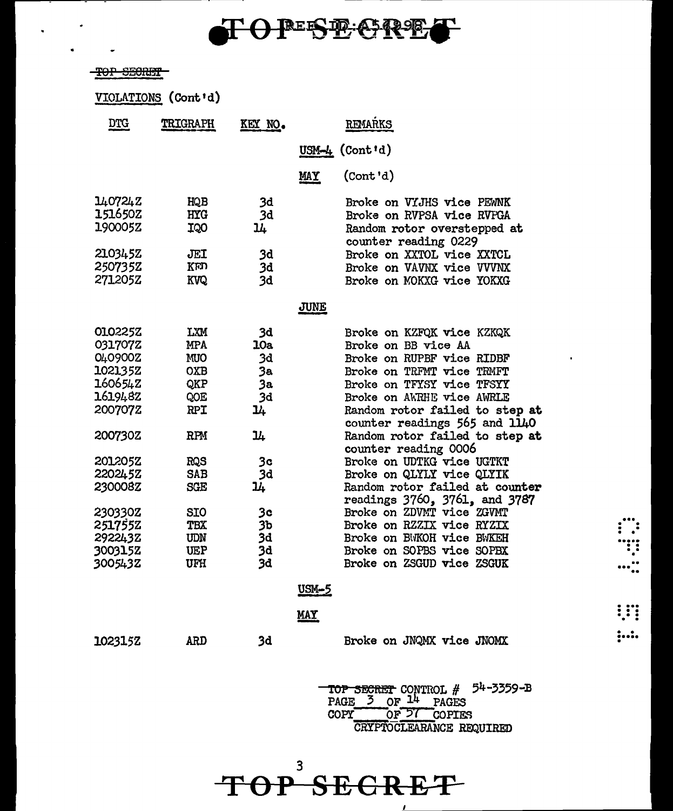## **TO PESE ORE**

### -TOP SECRET

 $\ddot{\phantom{0}}$ 

 $\bullet$ 

| <u>DTG</u>                                                                                                                                                                          | TRIGRAPH                                                                                                                                               | KEY NO.                                                                                                               |              | REMARKS                                                                                                                                                                                                                                                                                                                                                                                                                                                                                                                                                                         |
|-------------------------------------------------------------------------------------------------------------------------------------------------------------------------------------|--------------------------------------------------------------------------------------------------------------------------------------------------------|-----------------------------------------------------------------------------------------------------------------------|--------------|---------------------------------------------------------------------------------------------------------------------------------------------------------------------------------------------------------------------------------------------------------------------------------------------------------------------------------------------------------------------------------------------------------------------------------------------------------------------------------------------------------------------------------------------------------------------------------|
|                                                                                                                                                                                     |                                                                                                                                                        |                                                                                                                       |              | USM-4 $(Cont id)$                                                                                                                                                                                                                                                                                                                                                                                                                                                                                                                                                               |
|                                                                                                                                                                                     |                                                                                                                                                        |                                                                                                                       | MAY          | (Cont 'd)                                                                                                                                                                                                                                                                                                                                                                                                                                                                                                                                                                       |
| 140724Z<br><b>151650Z</b><br>190005Z<br>2103452<br>2507352<br>271205Z                                                                                                               | HQB<br><b>HYG</b><br>IQO<br>JEI<br>KED<br>KVQ                                                                                                          | 3d<br>3d<br>14<br>3d<br>3d<br>3d                                                                                      |              | Broke on VYJHS vice PEWNK<br>Broke on RVPSA vice RVPGA<br>Random rotor overstepped at<br>counter reading 0229<br>Broke on XXTOL vice XXTCL<br>Broke on VAVNX vice VVVNX<br>Broke on MOKXG vice YOKXG                                                                                                                                                                                                                                                                                                                                                                            |
|                                                                                                                                                                                     |                                                                                                                                                        |                                                                                                                       | <b>JUNE</b>  |                                                                                                                                                                                                                                                                                                                                                                                                                                                                                                                                                                                 |
| 010225Z<br>031707Z<br>040900Z<br>1021352<br>1606542<br>161948Z<br>2007072<br>200730Z<br><b>201205Z</b><br>220245Z<br>230008Z<br>230330Z<br>2517552<br>2922432<br>300315Z<br>3005432 | LXM<br><b>MPA</b><br><b>MUO</b><br>OXB<br>QKP<br>QOE<br>RPI<br>RPM<br><b>RQS</b><br>SAB<br>SGE<br><b>SIO</b><br><b>TBX</b><br>UDN<br><b>UEP</b><br>UFH | 3d<br>10a<br>3d<br>3a<br>3a<br>3d<br>14<br>14<br>3c<br>3d<br>14<br>3 <sub>c</sub><br>3 <sub>b</sub><br>3d<br>3d<br>3d |              | Broke on KZFQK vice KZKQK<br>Broke on BB vice AA<br>Broke on RUPBF vice RIDBF<br>Broke on TRFMT vice TRMFT<br>Broke on TFYSY vice TFSYY<br>Broke on AWRHE vice AWRLE<br>Random rotor failed to step at<br>counter readings 565 and 1140<br>Random rotor failed to step at<br>counter reading 0006<br>Broke on UDTKG vice UGTKT<br>Broke on QLYLY vice QLYIK<br>Random rotor failed at counter<br>readings 3760, 3761, and 3787<br>Broke on ZDVMT vice ZGVMT<br>Broke on RZZIX vice RYZIX<br>Broke on BWKOH vice BWKEH<br>Broke on SOPBS vice SOPBX<br>Broke on ZSGUD vice ZSGUK |
|                                                                                                                                                                                     |                                                                                                                                                        |                                                                                                                       | <u>USM-5</u> |                                                                                                                                                                                                                                                                                                                                                                                                                                                                                                                                                                                 |
|                                                                                                                                                                                     |                                                                                                                                                        |                                                                                                                       | <b>MAY</b>   |                                                                                                                                                                                                                                                                                                                                                                                                                                                                                                                                                                                 |
| 1023152                                                                                                                                                                             | ARD                                                                                                                                                    | 3d                                                                                                                    |              | Broke on JNQMX vice JNOMX                                                                                                                                                                                                                                                                                                                                                                                                                                                                                                                                                       |

TOP SECRET CONTROL # 54-3359-B PAGE 3 OF 14 PAGES COPY OF 57 COPIES CRYPTOCLEARANCE REQUIRED

... . . . • . . ..... . . .. .

 $\cdots$  ...

.... . . . . . . . .

..... • • .

3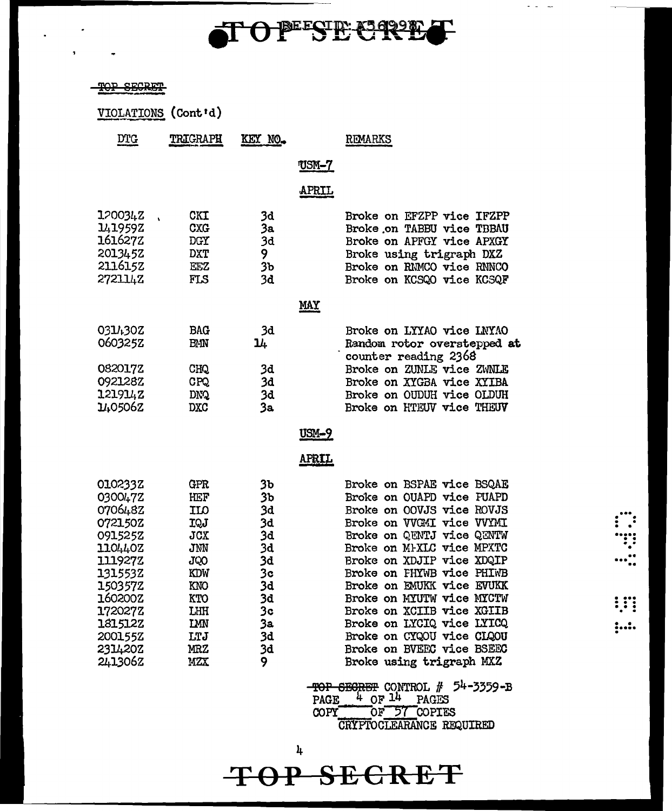# TOPESE CREE

 $\omega_{\rm{max}}$ 

 $\vdots$ "!"  $\cdots$  :

**IFT** 

 $\ddot{.}$ 

### TOP SECRET

 $\overline{\mathbf{a}}$ 

|                                                                                                                                                                          | VIOLATIONS (Cont'd)                                                                                          |                                                                                       |              |                                                                                                                                                                                                                                                                                                                                                                                                                                                |
|--------------------------------------------------------------------------------------------------------------------------------------------------------------------------|--------------------------------------------------------------------------------------------------------------|---------------------------------------------------------------------------------------|--------------|------------------------------------------------------------------------------------------------------------------------------------------------------------------------------------------------------------------------------------------------------------------------------------------------------------------------------------------------------------------------------------------------------------------------------------------------|
| <b>DTG</b>                                                                                                                                                               | TRIGRAPH                                                                                                     | KEY NO.                                                                               |              | REMARKS                                                                                                                                                                                                                                                                                                                                                                                                                                        |
|                                                                                                                                                                          |                                                                                                              |                                                                                       | <u>USM-7</u> |                                                                                                                                                                                                                                                                                                                                                                                                                                                |
|                                                                                                                                                                          |                                                                                                              |                                                                                       |              |                                                                                                                                                                                                                                                                                                                                                                                                                                                |
|                                                                                                                                                                          |                                                                                                              |                                                                                       | <b>APRIL</b> |                                                                                                                                                                                                                                                                                                                                                                                                                                                |
| 1200342<br>1419592<br>161627Z<br>2013452<br>211615Z<br>2721142                                                                                                           | CKI<br><b>CXG</b><br><b>DGY</b><br><b>DXT</b><br>EEZ<br>FLS                                                  | 3d<br>3a<br>3d<br>9<br>3 <sub>b</sub><br>3d                                           |              | Broke on EFZPP vice IFZPP<br>Broke on TABBU vice TBBAU<br>Broke on APFGY vice APXGY<br>Broke using trigraph DXZ<br>Broke on RMMCO vice RNNCO<br>Broke on KCSQO vice KCSQF                                                                                                                                                                                                                                                                      |
|                                                                                                                                                                          |                                                                                                              |                                                                                       | <u>MAY</u>   |                                                                                                                                                                                                                                                                                                                                                                                                                                                |
| 0314302<br>060325Z                                                                                                                                                       | <b>BAG</b><br><b>BMN</b>                                                                                     | 3d<br>14                                                                              |              | Broke on LYYAO vice LNYAO<br>Random rotor overstepped at                                                                                                                                                                                                                                                                                                                                                                                       |
| 082017Z<br>092128Z<br>121914Z<br>1405062                                                                                                                                 | CHQ<br><b>CPQ</b><br><b>DNQ</b><br><b>DXC</b>                                                                | 3d<br>3d<br>3d<br>3a                                                                  |              | counter reading 2368<br>Broke on ZUNLE vice ZWNLE<br>Broke on XYGBA vice XYIBA<br>Broke on OUDUH vice OLDUH<br>Broke on HTEUV vice THEUV                                                                                                                                                                                                                                                                                                       |
|                                                                                                                                                                          |                                                                                                              |                                                                                       | $USM-9$      |                                                                                                                                                                                                                                                                                                                                                                                                                                                |
|                                                                                                                                                                          |                                                                                                              |                                                                                       | <b>APRIL</b> |                                                                                                                                                                                                                                                                                                                                                                                                                                                |
| 010233Z<br>030047Z<br>070648Z<br>072150Z<br>0915252<br>110440Z<br>111927Z<br>1315532<br>1503572<br><b>1602002</b><br>172027Z<br>181512Z<br>2001552<br>2314202<br>2413062 | GPR<br>HEF<br><b>ILO</b><br>IQJ<br>JCX<br>JMN<br>JQO<br>KDW<br>KNO<br>KTO<br>LHH<br>IMN<br>LTJ<br>MRZ<br>MZX | 3ъ<br>3b<br>3d<br>3d<br>3d<br>3d<br>3d<br>3c<br>3d<br>3d<br>Зc<br>3а<br>3d<br>3d<br>9 |              | Broke on BSPAE vice BSQAE<br>Broke on OUAPD vice FUAPD<br>Broke on OOVJS vice ROVJS<br>Broke on VVGMI vice VVYMI<br>Broke on QENTJ vice QENTW<br>Broke on MIXLC vice MPXTC<br>Broke on XDJIP vice XDQIP<br>Broke on FHYWB vice PHIWB<br>Broke on EMUKK vice EVUKK<br>Broke on MYUTW vice MYCTW<br>Broke on XCIIB vice XGIIB<br>Broke on LYCIQ vice LYICQ<br>Broke on CYQOU vice CLQOU<br>Broke on BVEEC vice BSEEC<br>Broke using trigraph MXZ |
|                                                                                                                                                                          |                                                                                                              |                                                                                       | PAGE         | -TOP SECRET CONTROL # 54-3359-B<br>$4$ OF $14$<br>PAGES                                                                                                                                                                                                                                                                                                                                                                                        |

OF 57 COPIES COPY<sup>-</sup> **CRYPTOCLEARANCE REQUIRED** 

 $\, {\bf k}$ TOP SECRET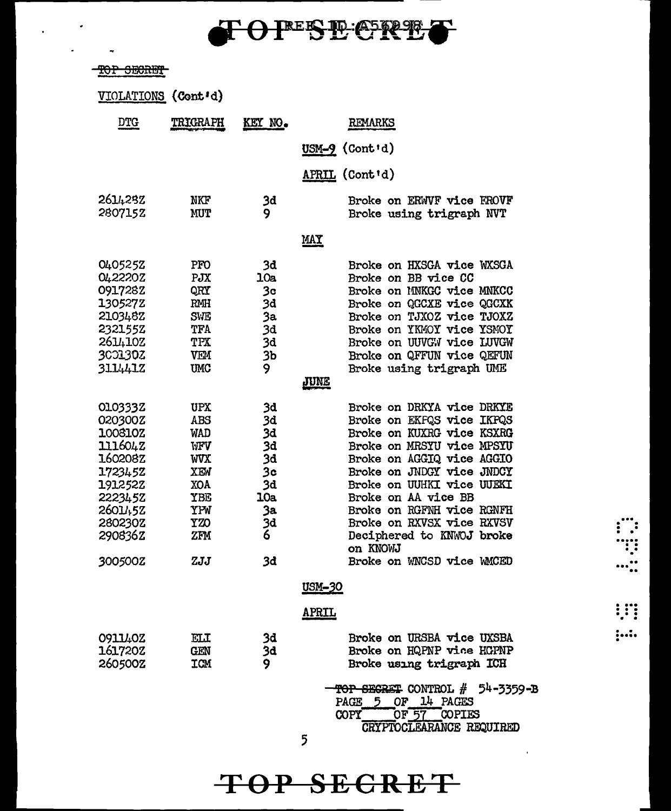

## TOP SECRET

 $\ddot{\phantom{a}}$ 

 $\overline{\phantom{a}}$ 

 $\ddot{\phantom{a}}$ 

| VIOLATIONS (Cont'd) |  |
|---------------------|--|
|---------------------|--|

| DTG                | <b>TRIGRAPH</b>   | <u>KEY</u> NO. | REMARKS                                                                                                                         |
|--------------------|-------------------|----------------|---------------------------------------------------------------------------------------------------------------------------------|
|                    |                   |                | $USM-9$ (Cont'd)                                                                                                                |
|                    |                   |                | APRIL (Cont'd)                                                                                                                  |
| 2614282<br>2807152 | NKF<br><b>MUT</b> | 3d<br>9        | Broke on ERWVF vice FROVF<br>Broke using trigraph NVT                                                                           |
|                    |                   |                | $\overline{\text{MIX}}$                                                                                                         |
| 0405252            | PFO               | 3đ             | Broke on HXSGA vice WXSGA                                                                                                       |
| 0422202            | PJX               | 10a            | Broke on BB vice CC                                                                                                             |
| 0917282            | QRY               | 3c             | Broke on MNKGC vice MNKCC                                                                                                       |
| 130527Z            | RMH               | 3d             | Broke on QGCXE vice QGCXK                                                                                                       |
| 210348Z            | <b>SWE</b>        | 3a             | Broke on TJXOZ vice TJOXZ                                                                                                       |
| 232155Z            | TFA               |                | Broke on YKMOY vice YSMOY                                                                                                       |
|                    |                   | 3d             |                                                                                                                                 |
| 2614102            | TPX               | 3d             | Broke on UUVGW vice LUVGW                                                                                                       |
| 3001302            | <b>VEM</b>        | 3Ъ             | Broke on QFFUN vice QEFUN                                                                                                       |
| 3114412            | <b>UMC</b>        | 9              | Broke using trigraph UME                                                                                                        |
|                    |                   |                | JUNE                                                                                                                            |
| 0103332            | <b>UPX</b>        | 3d             | Broke on DRKYA vice DRKYE                                                                                                       |
| 020300Z            | ABS               | 3đ             | Broke on EKFQS vice IKPQS                                                                                                       |
| 100810Z            | <b>WAD</b>        | 3d             | Broke on KUXRG vice KSXRG                                                                                                       |
| 1116042            | WFV               | 3d             | Broke on MRSYU vice MPSYU                                                                                                       |
| <b>160208Z</b>     | <b>WVX</b>        | 3d             | Broke on AGGIQ vice AGGIO                                                                                                       |
| 1723452            | XEW               | 3c             | Broke on JNDGY vice JNDCY                                                                                                       |
|                    |                   | <b>3d</b>      | Broke on UUHKI vice UUEKI                                                                                                       |
| 1912522            | XOA               | 10a            |                                                                                                                                 |
| 2223452            | YBE               |                | Broke on AA vice BB                                                                                                             |
| 26011,52           | YPW               | 3a             | Broke on RGFNH vice RGNFH                                                                                                       |
| 280230Z            | YZO               | 3d             | Broke on RXVSX vice RXVSV                                                                                                       |
| 290836Z            | ZFM               | 6              | Deciphered to KNWOJ broke<br>on KNOWJ                                                                                           |
| 300500Z            | ZJJ               | 3d             | Broke on WNCSD vice WMCED                                                                                                       |
|                    |                   |                | USM-30                                                                                                                          |
|                    |                   |                | <u>APRIL</u>                                                                                                                    |
| 0911402            | <b>ELI</b>        | 3d             | Broke on URSBA vice UXSBA                                                                                                       |
| 1617202            | <b>GEN</b>        | 3d             | Broke on HQPNP vice HGPNP                                                                                                       |
| 260500Z            | <b>ICM</b>        | 9.             | Broke using trigraph ICH                                                                                                        |
|                    |                   |                | TOP SECRET CONTROL $#$ 54-3359-B<br>OF 14 PAGES<br>PAGE 5<br>OF 57 COPIES<br>COPY <sup>-</sup><br>CRYPTOCLEARANCE REQUIRED<br>5 |
|                    |                   |                |                                                                                                                                 |

 $\begin{array}{c}\n\ldots \\
\ldots \\
\ldots \\
\ldots \\
\ldots\n\end{array}$ 

 $\vdots$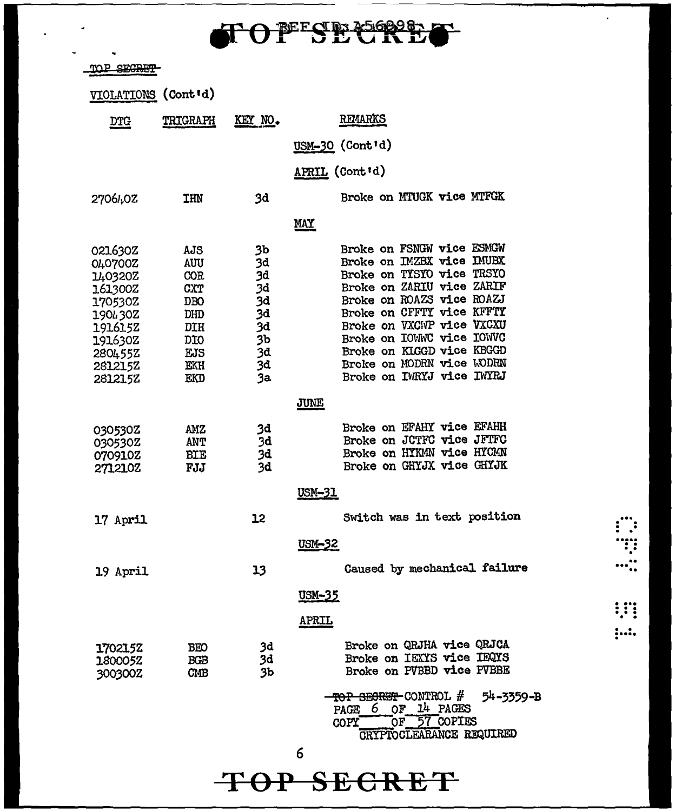| TOPESE SSOPP |  |  |  |  |
|--------------|--|--|--|--|
|--------------|--|--|--|--|

 $\ddot{\phantom{0}}$ 

 $\ddot{\phantom{0}}$ 

 $\ddot{\phantom{a}}$ 

| <u>MP SIGI</u>                                                                                                        |                                                                                         |                                                                            |                                                                                                                                                                                                                                                                                                                                    |
|-----------------------------------------------------------------------------------------------------------------------|-----------------------------------------------------------------------------------------|----------------------------------------------------------------------------|------------------------------------------------------------------------------------------------------------------------------------------------------------------------------------------------------------------------------------------------------------------------------------------------------------------------------------|
| VIOLATIONS (Cont'd)                                                                                                   |                                                                                         |                                                                            |                                                                                                                                                                                                                                                                                                                                    |
| <u>DTG</u>                                                                                                            | TRIGRAPH                                                                                | KEY NO.                                                                    | <b>REMARKS</b>                                                                                                                                                                                                                                                                                                                     |
|                                                                                                                       |                                                                                         |                                                                            | USM-30 (Cont'd)                                                                                                                                                                                                                                                                                                                    |
|                                                                                                                       |                                                                                         |                                                                            | <b>APRIL (Cont'd)</b>                                                                                                                                                                                                                                                                                                              |
| 2706402                                                                                                               | <b>IHN</b>                                                                              | 3d                                                                         | Broke on MTUGK vice MTFGK                                                                                                                                                                                                                                                                                                          |
|                                                                                                                       |                                                                                         |                                                                            | <b>MAY</b>                                                                                                                                                                                                                                                                                                                         |
| 021630Z<br>040700Z<br>140320Z<br>161300Z<br>1705302<br>190430Z<br>1916152<br>191630Z<br>280455Z<br>281215Z<br>281215Z | AJS<br>AUU<br><b>COR</b><br>CXT<br><b>DBO</b><br>DHD<br>DIH<br>DIO<br>EJS<br>EKH<br>EKD | 3Ъ<br>3d<br>3d<br>3d<br>3d<br>3d<br>3d<br>3 <sub>b</sub><br>3d<br>3d<br>3a | Broke on FSNGW vice ESMGW<br>Broke on IMZBX vice IMUBX<br><b>Broke on TYSYO vice TRSYO</b><br>Broke on ZARIU vice ZARIF<br>Broke on ROAZS vice ROAZJ<br>Broke on CFFTY vice KFFTY<br>Broke on VXCWP vice VXCXU<br>Broke on IOWWC vice IOWVC<br>Broke on KIGGD vice KBGGD<br>Broke on MODRN vice WODRN<br>Broke on IWRYJ vice IWYRJ |
|                                                                                                                       |                                                                                         |                                                                            | JUNE                                                                                                                                                                                                                                                                                                                               |
| 030530Z<br>030530Z<br>070910Z<br>2712102                                                                              | <b>AMZ</b><br>ANT<br><b>BIE</b><br>FJJ                                                  | 3d<br>3d<br><b>3d</b><br>3d                                                | Broke on EFAHY vice EFAHH<br>Broke on JCTFC vice JFTFC<br>Broke on HYKMN vice HYCMN<br>Broke on GHYJX vice GHYJK                                                                                                                                                                                                                   |
|                                                                                                                       |                                                                                         |                                                                            | USM-31                                                                                                                                                                                                                                                                                                                             |
| 17 April                                                                                                              |                                                                                         | 12                                                                         | Switch was in text position                                                                                                                                                                                                                                                                                                        |
|                                                                                                                       |                                                                                         |                                                                            | <u>USM-32</u>                                                                                                                                                                                                                                                                                                                      |
| 19 April                                                                                                              |                                                                                         | 13                                                                         | Caused by mechanical failure                                                                                                                                                                                                                                                                                                       |
|                                                                                                                       |                                                                                         |                                                                            | <u>USM-35</u>                                                                                                                                                                                                                                                                                                                      |
|                                                                                                                       |                                                                                         |                                                                            | <b>APRIL</b>                                                                                                                                                                                                                                                                                                                       |
| 1702152<br>180005Z<br>300300Z                                                                                         | <b>BEO</b><br><b>BGB</b><br>CMB                                                         | 3d<br>3d<br>3b                                                             | Broke on QRJHA vice QRJCA<br>Broke on IEXYS vice IEQYS<br>Broke on PVBBD vice PVBBE                                                                                                                                                                                                                                                |
|                                                                                                                       |                                                                                         |                                                                            | TOP SECRET CONTROL #<br>54-3359-B<br>PAGE 6 OF 14 PAGES<br>OF 57 COPIES<br>COPY"<br>CRYPTOCLEARANCE REQUIRED                                                                                                                                                                                                                       |
|                                                                                                                       |                                                                                         |                                                                            |                                                                                                                                                                                                                                                                                                                                    |
|                                                                                                                       |                                                                                         |                                                                            | 6                                                                                                                                                                                                                                                                                                                                  |

...<br>...<br>....<br>....

 $\hat{\mathbf{r}}$ 

...<br>...<br>. .

 $: ...$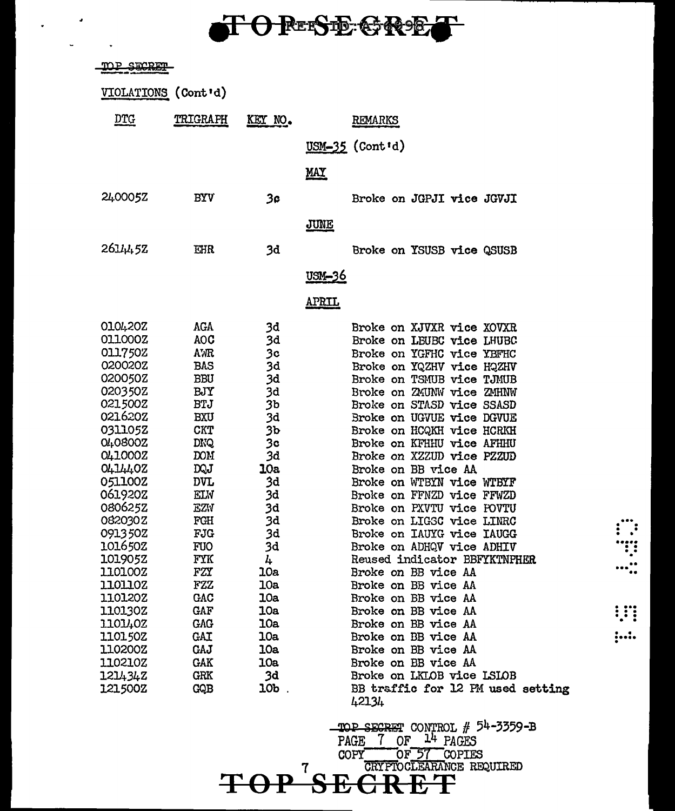## O RESE GRE

 $\overline{a}$ 

L.

| <u>TOP SECRET</u> |                     |                |                               |
|-------------------|---------------------|----------------|-------------------------------|
|                   | VIOLATIONS (Cont'd) |                |                               |
| <u>DTG</u>        | TRIGRAPH            | KEY NO.        | REMARKS                       |
|                   |                     |                | USM-35 (Cont'd)               |
|                   |                     |                |                               |
|                   |                     |                | <u>MAY</u>                    |
| 240005Z           | <b>BYV</b>          | 3۵             | Broke on JGPJI vice JGVJI     |
|                   |                     |                |                               |
|                   |                     |                | <b>JUNE</b>                   |
| $26J_45Z$         | EHR                 | 3d             | Broke on YSUSB vice QSUSB     |
|                   |                     |                | <u>usm-36</u>                 |
|                   |                     |                | <u>APRIL</u>                  |
| O10420Z           | AGA                 | 3d             | Broke on XJVXR vice XOVXR     |
| 011000Z           | <b>AOC</b>          | 3d             | Broke on LEUBC vice LHUBC     |
| 011750Z           | <b>AMR</b>          | 3 <sub>c</sub> | Broke on YGFHC vice YBFHC     |
| 020020Z           | <b>BAS</b>          | 3d             | Broke on YQZHV vice HQZHV     |
| 020050Z           | <b>BBU</b>          | 3d             | Broke on TSMUB vice TJMUB     |
| 020350Z           | BJY                 | 3d             | Broke on ZMUNW vice ZMHNW     |
| 021500Z           | <b>BTJ</b>          | 3b             | Broke on STASD vice SSASD     |
| 021620Z           | <b>BXU</b>          | 3d             | Broke on UGVUE vice DGVUE     |
| 0311052           | <b>CKT</b>          | 36             | Broke on HCQKH vice HCRKH     |
| O40800Z           | <b>DNQ</b>          | 3c             | Broke on KFHHU vice AFHHU     |
| 041000Z           | <b>DOM</b>          | 3d             | Broke on XZZUD vice PZZUD     |
| 0414402           | DQJ                 | <b>10a</b>     | Broke on BB vice AA           |
| 051100Z           | <b>DVL</b>          | 3d             | Broke on WTBYN vice WTBYF     |
| 061920Z           | <b>ELW</b>          | 3d             | Broke on FFNZD vice FFWZD     |
| 080625Z           | <b>EZV</b>          | 3d             | Broke on PXVTU vice POVTU     |
| 082030Z           | FGH                 | 3d             | Broke on LIGSC vice LINRC     |
| 091350Z           | FJG                 | 3d             | Broke on IAUYG vice IAUGG     |
| 101650Z           | <b>FUO</b>          | 3d             | Broke on ADHQV vice ADHIV     |
| 1019052           | FYK                 | 4              | Reused indicator BBFYKTNPHER  |
| 110100Z           | FZY                 | 10a            | Broke on BB vice AA           |
| 1101102           | FZZ                 | 10a            | Broke on BB vice AA           |
| 1101202           | GAC                 | 10a            | Broke on BB vice AA           |
| 110130Z           | GAF                 | <b>10a</b>     | Broke on BB vice AA           |
| 1101402           | <b>GAG</b>          | 10a            | Broke on BB vice AA           |
| <b>110150Z</b>    | GAI                 | 10a            | Broke on BB vice AA           |
| 110200Z           | GAJ                 | 10a            | Broke on BB vice AA           |
| 110210Z           | GAK                 | 10a            | Broke on BB vice AA           |
| 121434Z           | GRK                 | 3d             | Broke on LKLOB vice LSLOB     |
| <b>121500Z</b>    | GQB                 | <b>10b</b>     | BB traffic for 12 PM used set |

Broke on LKLOB vice LSLOB BB traffic for 12 PM used setting 42134

 $\vdots$ 

ï

 $\cdots$  :

**:..:.** 

TOP SECRET CONTROL #  $54-3359-3$ <br>PAGE  $7$  OF  $14$  PAGES COPY OF 57 COPIES  $\bf 7$ **TOP**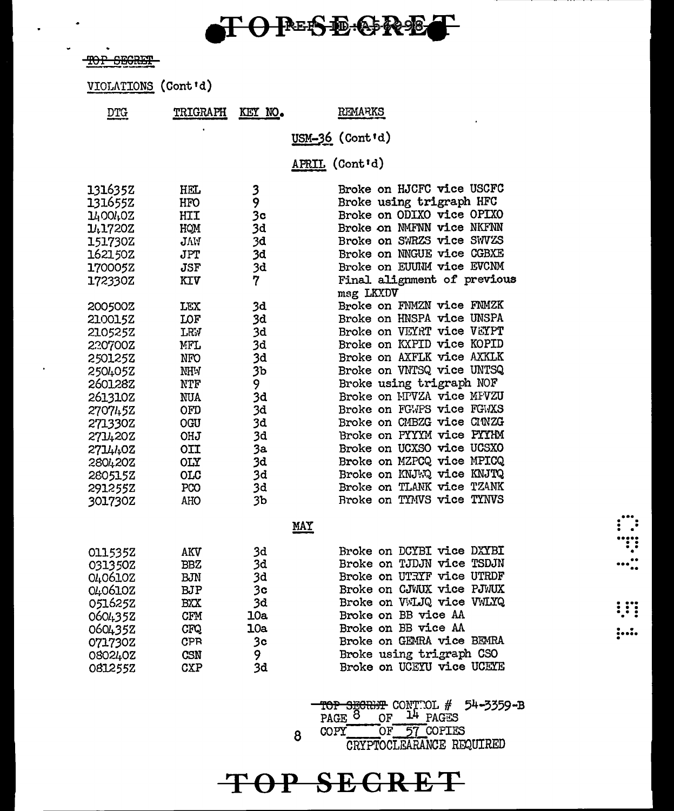# TO PESE GRET

TOP SEGRET

 $\ddot{\phantom{0}}$ 

VIOLATIONS (Cont'd)

| <b>DTG</b>                                                                                                                                                                   | TRIGRAPH                                                                                                                                                      | KEY NO.                                                                                                              | <b>REMARKS</b>                                                                                                                                                                                                                                                                                                                                                                                                                                                                     |
|------------------------------------------------------------------------------------------------------------------------------------------------------------------------------|---------------------------------------------------------------------------------------------------------------------------------------------------------------|----------------------------------------------------------------------------------------------------------------------|------------------------------------------------------------------------------------------------------------------------------------------------------------------------------------------------------------------------------------------------------------------------------------------------------------------------------------------------------------------------------------------------------------------------------------------------------------------------------------|
|                                                                                                                                                                              |                                                                                                                                                               |                                                                                                                      | USM-36 (Cont'd)                                                                                                                                                                                                                                                                                                                                                                                                                                                                    |
|                                                                                                                                                                              |                                                                                                                                                               |                                                                                                                      | APRIL (Cont'd)                                                                                                                                                                                                                                                                                                                                                                                                                                                                     |
| 1316352<br>131655Z<br>1400402<br>1417202<br>151730Z                                                                                                                          | <b>HEL</b><br>HFO<br>HII<br>HOM<br>JVV                                                                                                                        | 3<br>9<br>3 <sub>c</sub><br>3d<br>3d                                                                                 | Broke on HJCFC vice USCFC<br>Broke using trigraph HFC<br>Broke on ODIXO vice OPIXO<br>Broke on NMFNN vice NKFNN<br>Broke on SWRZS vice SWVZS                                                                                                                                                                                                                                                                                                                                       |
| 162150Z<br>170005Z<br>172330Z                                                                                                                                                | JPT<br>JSF<br>KIV                                                                                                                                             | 3d<br>3d<br>7                                                                                                        | Broke on NNGUE vice CGBXE<br>Broke on EUUNM vice EVCNM<br>Final alignment of previous<br>msg LKXDV                                                                                                                                                                                                                                                                                                                                                                                 |
| 200500Z<br>2100152<br>210525Z<br>220700Z<br>2501252<br>2504052<br>2601282<br>261310Z<br>270745Z<br>271330Z<br>2714202<br>2714402<br>280420Z<br>280515Z<br>291255Z<br>301730Z | LEX<br><b>LOF</b><br><b>LRV</b><br>MFL<br><b>NFO</b><br>NHW<br>NTF<br>NUA<br>OFD<br><b>OGU</b><br><b>OHJ</b><br>OII<br><b>OLY</b><br><b>OLC</b><br>PCO<br>AHO | 3d<br>3d<br>3d<br>3d<br>3d<br>3 <sub>b</sub><br>9.<br>3d<br>3d<br>3d<br>3d<br>3a<br>3d<br>3d<br>3d<br>3 <sub>b</sub> | Broke on FNMZN vice FNMZK<br>Broke on HNSPA vice UNSPA<br>Broke on VEYRT vice VEYPT<br>Broke on KXPID vice KOPID<br>Broke on AXFLK vice AXKLK<br>Broke on VNTSQ vice UNTSQ<br>Broke using trigraph NOF<br>Broke on NPVZA vice MFVZU<br>Broke on FGWPS vice FGWXS<br>Broke on CMBZG vice CMNZG<br>Broke on PYYYM vice PYYHM<br>Broke on UCXSO vice UCSXO<br>Broke on MZPCQ vice MPICQ<br>Broke on KNJWQ vice KNJTQ<br>Broke on TLANK vice TZANK<br><b>Broke on TYMVS vice TYNVS</b> |
|                                                                                                                                                                              |                                                                                                                                                               |                                                                                                                      | <b>MAY</b>                                                                                                                                                                                                                                                                                                                                                                                                                                                                         |
| 0115352<br>031350Z<br>0406102<br>0406102<br>051625Z<br>0604352<br>0604352<br>071730Z<br>0802402<br>0812552                                                                   | AKV<br>BBZ<br><b>BJN</b><br><b>BJP</b><br><b>BXX</b><br><b>CFM</b><br><b>CFQ</b><br><b>CPR</b><br>CSN<br><b>CXP</b>                                           | 3d<br>3d<br>3d<br>3 <sub>c</sub><br>3d<br>10a<br>10a<br>3c<br>9<br>3d                                                | Broke on DCYBI vice DXYBI<br>Broke on TJDJN vice TSDJN<br>Broke on UTRYF vice UTRDF<br>Broke on CJWUX vice PJWUX<br>Broke on VWLJQ vice VWLYQ<br>Broke on BB vice AA<br>Broke on BB vice AA<br>Broke on GEMRA vice BEMRA<br>Broke using trigraph CSO<br>Broke on UCEYU vice UCEYE                                                                                                                                                                                                  |

TOP SECRET CONTROL # 54-3359-B<br>PAGE 8 OF 14 PAGES<br>COPY OF 57 COPIES

 $\begin{array}{c} \begin{array}{c} \begin{array}{c} \text{...}\\ \text{...}\\ \text{...}\\ \text{...}\\ \end{array} \end{array} \\ \begin{array}{c} \text{...}\\ \text{...}\\ \text{...}\\ \end{array} \end{array}$ 

W

 $1.1.$ 

CRYPTOCLEARANCE REQUIRED

## TOP SEGRET

8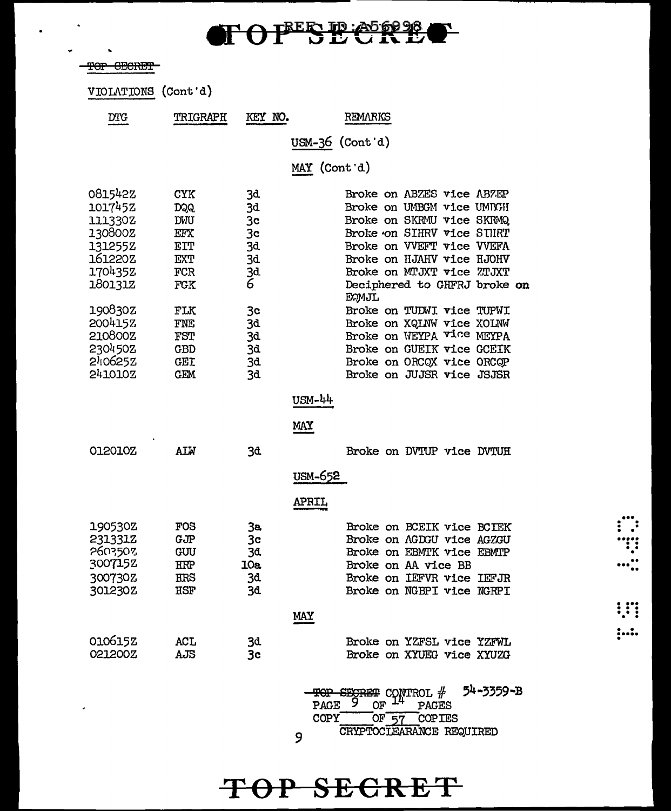## **TOFESEERE**  $\Gamma$

|    | $max$ $minmin$ |
|----|----------------|
| IJ | <u>ocono i</u> |
|    |                |

 $\bullet$ 

 $\hat{\mathcal{L}}$ 

 $\bullet$ 

 $\ddot{\phantom{a}}$ 

VIOLATIONS (Cont'd)

| DTG                                                                                                                                         | TRIGRAPH                                                                                               | KEY NO.                                                                                           |                         | REMARKS                                                                                                                                                                                                                                                                                                                                                                                                  |
|---------------------------------------------------------------------------------------------------------------------------------------------|--------------------------------------------------------------------------------------------------------|---------------------------------------------------------------------------------------------------|-------------------------|----------------------------------------------------------------------------------------------------------------------------------------------------------------------------------------------------------------------------------------------------------------------------------------------------------------------------------------------------------------------------------------------------------|
|                                                                                                                                             |                                                                                                        |                                                                                                   | $USM-36$ (Cont'd)       |                                                                                                                                                                                                                                                                                                                                                                                                          |
|                                                                                                                                             |                                                                                                        |                                                                                                   | MAY (Cont'd)            |                                                                                                                                                                                                                                                                                                                                                                                                          |
| 0815422<br>101745Z<br>111330Z<br>130800Z<br>131255Z<br>161220Z<br>1704352<br>1801312<br>190830Z<br>200415Z<br>210800Z<br>230450Z<br>240625Z | <b>CYK</b><br>DQQ.<br>DWU<br>EFX<br>EIT<br>EXT<br>FCR<br>FGK<br>FLK<br>FNE<br>FST<br>GBD<br><b>GEI</b> | 3đ<br>3d<br>3 <sub>c</sub><br>3 <sub>c</sub><br>3d<br>3d<br>3d<br>6<br>3c<br>3đ<br>3d<br>3d<br>3d |                         | Broke on ABZES vice ABZEP<br>Broke on UMBGM vice UMBGH<br>Broke on SKRMU vice SKRMQ<br>Broke on SIHRV vice STHRT<br>Broke on VVEFT vice VVEFA<br>Broke on HJAHV vice HJOHV<br>Broke on MTJXT vice ZTJXT<br>Deciphered to GHFRJ broke on<br><b>EQMJL</b><br>Broke on TUDWI vice TUPWI<br>Broke on XQLNW vice XOLNW<br>Broke on WEYPA vice MEYPA<br>Broke on GUEIK vice GCEIK<br>Broke on ORCOX vice ORCOP |
| 241010Z<br>012010Z                                                                                                                          | GEM<br><b>ALW</b>                                                                                      | 3d                                                                                                | USM-44<br>MAY           | Broke on JUJSR vice JSJSR<br>Broke on DVTUP vice DVTUH                                                                                                                                                                                                                                                                                                                                                   |
|                                                                                                                                             |                                                                                                        | 3d                                                                                                | USM-652<br><b>APRIL</b> |                                                                                                                                                                                                                                                                                                                                                                                                          |
| 190530Z<br>231331Z<br>2603503<br>3007152<br>300730Z<br>3012302                                                                              | FOS<br>GJP<br>GUU<br>HRP<br>HRS<br>HSF                                                                 | 3a<br>3c<br>3đ<br>10a<br>3d<br>3d                                                                 |                         | Broke on BCEIK vice BCIEK<br>Broke on AGDGU vice AGZGU<br>Broke on EBMTK vice EBMTP<br>Broke on AA vice BB<br>Broke on IEFVR vice IEFJR<br>Broke on NGBPI vice NGRPI                                                                                                                                                                                                                                     |
|                                                                                                                                             |                                                                                                        |                                                                                                   | <b>MAY</b>              |                                                                                                                                                                                                                                                                                                                                                                                                          |
| 010615Z<br>021200Z                                                                                                                          | ACL<br>AJS                                                                                             | 3d<br>3 <sub>c</sub>                                                                              |                         | Broke on YZFSL vice YZFWL<br>Broke on XYUEG vice XYUZG                                                                                                                                                                                                                                                                                                                                                   |
|                                                                                                                                             |                                                                                                        |                                                                                                   | ⊞⊖P                     | 54-3359-B<br>SEGRET CONTROL #                                                                                                                                                                                                                                                                                                                                                                            |

9

TOP SECRET

PAGE 9 OF 14 PAGES<br>COPY OF 57 COPIES<br>COPY OF 57 COPIES

 $\dddot{c}$ II  $\cdots$  :

 $\vdots$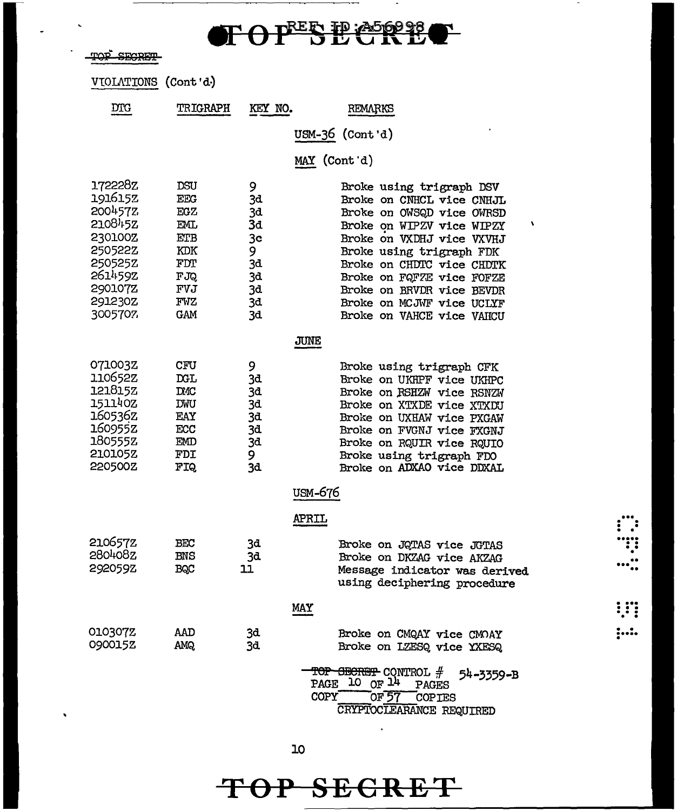# TOPESE CRECT

 $\blacksquare$ 

| סמיי | CIMODIA   |
|------|-----------|
| ---  | ********* |

 $\overline{a}$ 

 $\ddot{\phantom{0}}$ 

| VIOLATIONS (Cont'd) |  |  |
|---------------------|--|--|
|---------------------|--|--|

| <b>DTG</b>                                                                                                            | <b>TRIGRAPH</b>                                                                                 | KEY NO.                                                      | REMARKS                                                                                                                                                                                                                                                                                                                        |
|-----------------------------------------------------------------------------------------------------------------------|-------------------------------------------------------------------------------------------------|--------------------------------------------------------------|--------------------------------------------------------------------------------------------------------------------------------------------------------------------------------------------------------------------------------------------------------------------------------------------------------------------------------|
|                                                                                                                       |                                                                                                 |                                                              | USM-36 (Cont'd)                                                                                                                                                                                                                                                                                                                |
|                                                                                                                       |                                                                                                 |                                                              | MAY (Cont d)                                                                                                                                                                                                                                                                                                                   |
| 172228z<br>191615Z<br>200457Z<br>210845Z<br>230100Z<br>250522Z<br>2505252<br>2614592<br>290107Z<br>291230Z<br>3005707 | <b>DSU</b><br><b>EEG</b><br><b>EGZ</b><br>EML.<br>ETB<br>KDK<br>FDT<br>FJQ<br>FVJ<br>FVZ<br>GAM | 9<br>3d<br>3d<br>3d<br>3c<br>9<br>3d<br>3d<br>3d<br>3d<br>3d | Broke using trigraph DSV<br>Broke on CNHCL vice CNHJL<br>Broke on OWSQD vice OWRSD<br>١<br>Broke on WIPZV vice WIPZY<br>Broke on VXDHJ vice VXVHJ<br>Broke using trigraph FDK<br>Broke on CHDTC vice CHDTK<br>Broke on FQFZE vice FOFZE<br>Broke on BRVDR vice BEVDR<br>Broke on MCJWF vice UCLYF<br>Broke on VAHCE vice VAHCU |
|                                                                                                                       |                                                                                                 |                                                              | <b>JUNE</b>                                                                                                                                                                                                                                                                                                                    |
| 0710032<br>110652Z<br>121815Z<br>151140Z<br>160536z<br>160955z<br>180555Z<br>210105Z<br>220500Z                       | <b>CFU</b><br><b>DGL</b><br><b>DMC</b><br><b>DWU</b><br>EAY<br>ECC<br>EMD<br>FDI<br>FIQ.        | 9<br>3d<br>3d<br>3d<br>3d<br>3đ<br>3d<br>9<br>3d             | Broke using trigraph CFK<br>Broke on UKHPF vice UKHPC<br>Broke on RSHZW vice RSNZW<br>Broke on XTXDE vice XTXDU<br>Broke on UXHAW vice PXGAW<br>Broke on FVGNJ vice FXGNJ<br>Broke on RQUIR vice RQUIO<br>Broke using trigraph FDO<br>Broke on ADXAO vice DDXAL                                                                |
|                                                                                                                       |                                                                                                 |                                                              | USM-676                                                                                                                                                                                                                                                                                                                        |
|                                                                                                                       |                                                                                                 |                                                              | <b>APRIL</b>                                                                                                                                                                                                                                                                                                                   |
| 210657Z<br>280408Z<br>292059Z                                                                                         | BEC<br><b>BNS</b><br>BQC                                                                        | 3đ<br>3d<br>11                                               | Broke on JQTAS vice JGTAS<br>Broke on DKZAG vice AKZAG<br>Message indicator was derived<br>using deciphering procedure                                                                                                                                                                                                         |
|                                                                                                                       |                                                                                                 |                                                              | <b>MAY</b>                                                                                                                                                                                                                                                                                                                     |
| 0103072<br>090015Z                                                                                                    | AAD<br><b>AMQ</b>                                                                               | 3d<br>3d                                                     | Broke on CMQAY vice CMOAY<br>Broke on LZESQ vice YXESQ<br>TOP SECRET CONTROL #<br>54-3359-B<br>PAGE 10 OF $14$<br><b>PAGES</b><br>COPY<br>OF57<br>COPIES                                                                                                                                                                       |
|                                                                                                                       |                                                                                                 |                                                              | CRYPTOCLEARANCE REQUIRED                                                                                                                                                                                                                                                                                                       |

 $\begin{array}{c} \begin{array}{c} \cdots \\ \cdots \\ \cdots \\ \cdots \\ \cdots \\ \cdots \\ \cdots \end{array} \\ \cdots \\ \cdots \\ \cdots \\ \cdots \\ \cdots \end{array} \\ \begin{array}{c} \cdots \\ \cdots \\ \cdots \\ \cdots \\ \cdots \end{array} \\$ 

 $; \ldots$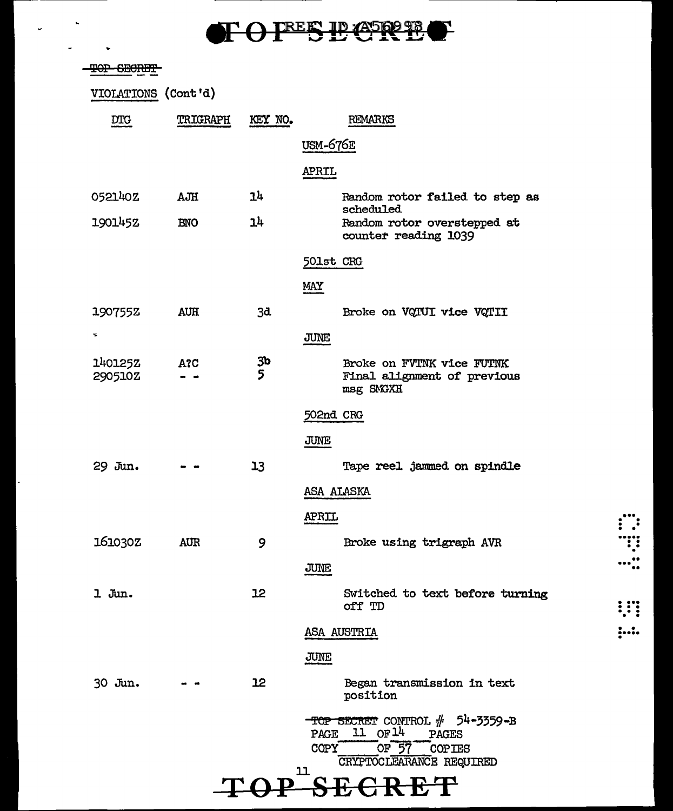# TOFESECREC

 $\ddot{\phantom{0}}$ 

 $\ddot{\phantom{0}}$ 

 $\omega$ 

| <del>TOP SECRET</del> |            |                |                                                                                                                                    |
|-----------------------|------------|----------------|------------------------------------------------------------------------------------------------------------------------------------|
| VIOLATIONS (Cont'd)   |            |                |                                                                                                                                    |
| DTG                   | TRIGRAPH   | KEY NO.        | REMARKS                                                                                                                            |
|                       |            |                | <b>USM-676E</b>                                                                                                                    |
|                       |            |                | APRIL                                                                                                                              |
| 052140Z               | AJH        | 14             | Random rotor failed to step as                                                                                                     |
| 190145Z               | <b>BNO</b> | 14             | scheduled<br>Random rotor overstepped at<br>counter reading 1039                                                                   |
|                       |            |                | 501st CRG                                                                                                                          |
|                       |            |                | MAY                                                                                                                                |
| 190755Z               | <b>AUH</b> | 3d             | Broke on VQTUI vice VQTII                                                                                                          |
| ÷,                    |            |                | <b>JUNE</b>                                                                                                                        |
| 1401252<br>290510Z    | A?C        | $\frac{3b}{5}$ | Broke on FVTNK vice FUTNK<br>Final alignment of previous<br>msg SMGXH                                                              |
|                       |            |                | 502nd CRG                                                                                                                          |
|                       |            |                | JUNE                                                                                                                               |
| 29 Jun.               |            | 13             | Tape reel jammed on spindle                                                                                                        |
|                       |            |                | ASA ALASKA                                                                                                                         |
|                       |            |                | <b>APRIL</b>                                                                                                                       |
| 161030Z               | <b>AUR</b> | 9              | Broke using trigraph AVR                                                                                                           |
|                       |            |                | JUNE                                                                                                                               |
| 1 Jun.                |            | 12             | Switched to text before turning<br>off TD                                                                                          |
|                       |            |                | ASA AUSTRIA                                                                                                                        |
|                       |            |                | JUNE                                                                                                                               |
| 30 Jun.               |            | 12             | Began transmission in text<br>position                                                                                             |
|                       |            |                | $-$ TOP SECRET CONTROL $#$ 54-3359-B<br>11 OF 14<br>PAGE<br>PAGES<br>OF 57 COPIES<br><b>COPY</b><br>CRYPTOCLEARANCE REQUIRED<br>11 |
|                       |            |                |                                                                                                                                    |

 $\begin{array}{c}\n\ldots \\
\ldots \\
\ldots \\
\ldots\n\end{array}$ 

 $: ...$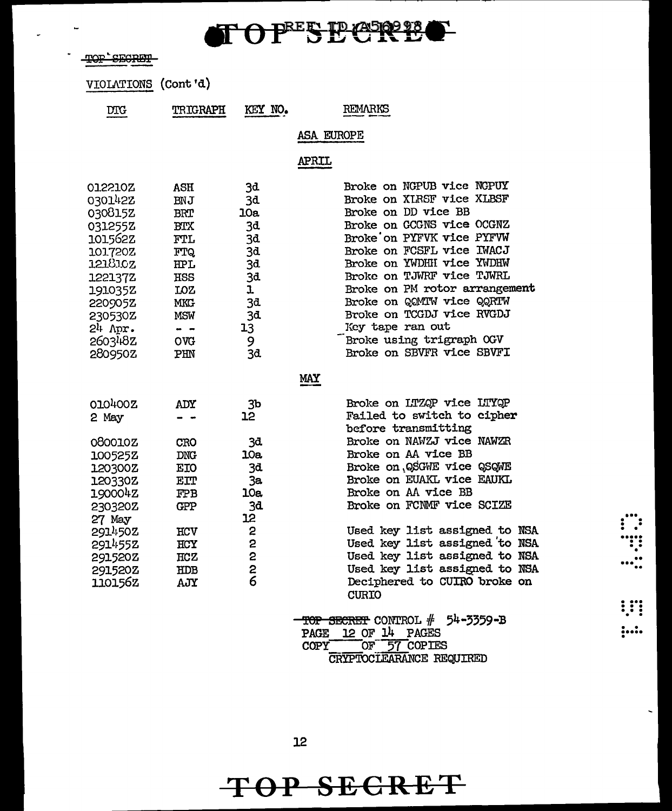$\mathbf{TOP}^{\texttt{REF}}$  $\mathbf{B}$  $\mathbf{C}$  $\mathbf{R}$  $\mathbf{B}$ 

-TOP SECRET

i.

VIOLATIONS (Cont'd)

| DTG  | TRIGRAPH                        | KEY NO.                                               | <b>REMARKS</b> |
|------|---------------------------------|-------------------------------------------------------|----------------|
| ____ | فستشاد فالسوادي والمدياس ومنفرد | <b><i>Distances in the Secret World House Co.</i></b> |                |
|      |                                 |                                                       |                |

ASA EUROPE

APRIL

| <b>BTX</b><br><b>FTL</b><br><b>FTQ</b><br>HPL<br>HSS<br><b>LOZ</b> | 3d<br>10a<br>3d<br>3d<br>3d<br>3d<br>3d<br>ı | Broke on XLRSF vice XLBSF<br>Broke on DD vice BB<br>Broke on GCGNS vice OCGNZ<br>Broke on PYFVK vice PYFVW<br>Broke on FCSFL vice IWACJ<br>Broke on YWDHH vice YWDHW<br>Broke on TJWRF vice TJWRL<br>Broke on PM rotor arrangement |                                                                                                                      |
|--------------------------------------------------------------------|----------------------------------------------|------------------------------------------------------------------------------------------------------------------------------------------------------------------------------------------------------------------------------------|----------------------------------------------------------------------------------------------------------------------|
| <b>MKG</b><br><b>MSW</b><br>$\blacksquare$<br><b>OVG</b><br>PHN    | 3d<br>3d<br>13<br>9<br>3d                    | Broke on QOMIW vice QQRTW<br>Broke on TCGDJ vice RVGDJ<br>Key tape ran out<br>Broke using trigraph OGV<br>Broke on SBVFR vice SBVFI                                                                                                |                                                                                                                      |
|                                                                    |                                              | <b>MAY</b>                                                                                                                                                                                                                         |                                                                                                                      |
| ADY                                                                | 3 <sub>b</sub><br>12                         | Broke on LTZQP vice LTYQP<br>Failed to switch to cipher                                                                                                                                                                            |                                                                                                                      |
| <b>CRO</b><br><b>DNG</b>                                           | 3đ.<br>10a                                   | Broke on NAWZJ vice NAWZR<br>Broke on AA vice BB                                                                                                                                                                                   |                                                                                                                      |
| EIT<br><b>FPB</b><br><b>GPP</b>                                    | 3a<br>10a<br>3d                              | Broke on EUAKL vice EAUKL<br>Broke on AA vice BB<br>Broke on FCNMF vice SCIZE                                                                                                                                                      |                                                                                                                      |
| HCV<br>HCY                                                         | 12<br>2<br>2                                 | Used key list assigned to NSA<br>Used key list assigned to NSA                                                                                                                                                                     |                                                                                                                      |
| HDB<br>AJY                                                         | $\frac{2}{6}$                                | Used key list assigned to NSA<br>Deciphered to CUIRO broke on<br><b>CURIO</b>                                                                                                                                                      |                                                                                                                      |
|                                                                    |                                              | TOP SECRET CONTROL $#$ 54-3359-B<br>12 OF 14<br>PAGES<br>PAGE                                                                                                                                                                      |                                                                                                                      |
|                                                                    | <b>BNJ</b><br><b>BRT</b><br>EIO<br>HCZ       | 3d<br>2                                                                                                                                                                                                                            | before transmitting<br>Broke on QSGWE vice QSQWE<br>Used key list assigned to NSA<br>57 COPIES<br>OF.<br><b>COPY</b> |

CRYPTOCLEARANCE REQUIRED

 $\overline{\phantom{0}}$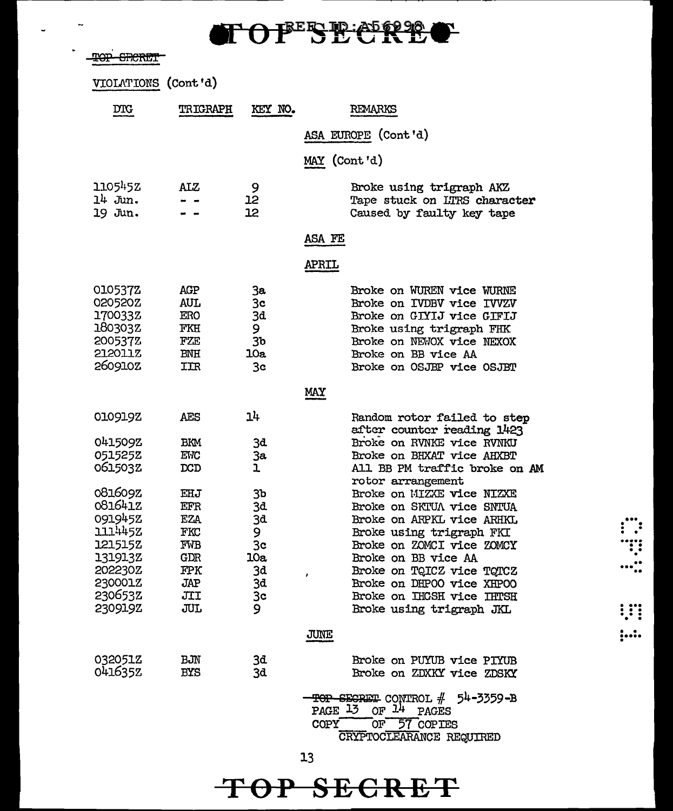TOPESE CRE P-

TOP SECRET

VIOLATIONS (Cont'd)

| $_{\rm DTC}$                                                                                               | <b>TRIGRAPH</b>                                                           | KEY NO.                                                    | REMARKS                                                                                                                                                                                                                                                                                                |
|------------------------------------------------------------------------------------------------------------|---------------------------------------------------------------------------|------------------------------------------------------------|--------------------------------------------------------------------------------------------------------------------------------------------------------------------------------------------------------------------------------------------------------------------------------------------------------|
|                                                                                                            |                                                                           |                                                            | ASA EUROPE (Cont'd)                                                                                                                                                                                                                                                                                    |
|                                                                                                            |                                                                           |                                                            | MAY (Cont'd)                                                                                                                                                                                                                                                                                           |
| 110545Z<br>14 Jun.<br>19 Jun.                                                                              | <b>ALZ</b>                                                                | 9<br>12<br>12                                              | Broke using trigraph AKZ<br>Tape stuck on LTRS character<br>Caused by faulty key tape                                                                                                                                                                                                                  |
|                                                                                                            |                                                                           |                                                            | ASA FE                                                                                                                                                                                                                                                                                                 |
|                                                                                                            |                                                                           |                                                            | <b>APRIL</b>                                                                                                                                                                                                                                                                                           |
| 0105372<br>020520Z<br>170033Z<br>180303Z<br>200537Z<br><b>STSOTTS</b><br>260910Z                           | AGP<br>AUL<br>ERO<br>FKH<br>FZE<br><b>BNH</b><br>IIR                      | 3a<br>3 <sub>c</sub><br>3d<br>9.<br>3b<br><b>10a</b><br>3c | Broke on WUREN vice WURNE<br>Broke on IVDBV vice IVVZV<br>Broke on GIYIJ vice GIFIJ<br>Broke using trigraph FHK<br>Broke on NEWOX vice NEXOX<br>Broke on BB vice AA<br>Broke on OSJEP vice OSJET                                                                                                       |
|                                                                                                            |                                                                           |                                                            | <b>MAY</b>                                                                                                                                                                                                                                                                                             |
| 010919Z<br>041509Z<br>051525Z<br>0615032                                                                   | AES<br>BKM<br>EWC<br>DCD                                                  | 1 <sup>1</sup><br>Зđ<br>За<br>ı                            | Random rotor failed to step<br>after counter reading 1423<br>Broke on RVNKE vice RVNKU<br>Broke on BHXAT vice AHXBT<br>All BB PM traffic broke on AM<br>rotor arrangement                                                                                                                              |
| 081609Z<br>081641Z<br>0919452<br>1114452<br>1215152<br>131913Z<br>202230Z<br>230001Z<br>2306532<br>230919Z | EHJ<br>EFR<br><b>EZA</b><br>FKC<br>FWB<br>GDR<br>FPK<br>JAP<br>JII<br>JUL | 3b<br>3d<br>3d<br>9<br>Зc<br>10a<br>3d<br>3đ<br>Зc<br>9    | Broke on MIZXE vice NIZXE<br>Broke on SKTUA vice SNTUA<br>Broke on ARPKL vice ARHKL<br>Broke using trigraph FKI<br>Broke on ZOMCI vice ZOMCY<br>Broke on BB vice AA<br>Broke on TQICZ vice TQICZ<br>$\mathbf{r}$<br>Broke on DHPOO vice XHPOO<br>Broke on IHGSH vice IHTSH<br>Broke using trigraph JKL |
|                                                                                                            |                                                                           |                                                            | JUNE                                                                                                                                                                                                                                                                                                   |
| 032051Z<br>041635Z                                                                                         | BJN<br><b>BYS</b>                                                         | 3d<br>3d                                                   | Broke on PUYUB vice PIYUB<br>Broke on ZDXKY vice ZDSKY<br>TOP SEGRET CONTROL # 54-3359-B<br>PAGE 13 OF 14 PAGES<br>COPY<br>OF 57 COPIES                                                                                                                                                                |
|                                                                                                            |                                                                           |                                                            | CRYPTOCLEARANCE REQUIRED                                                                                                                                                                                                                                                                               |

 $\frac{1}{1}$ 

!!!

 $;...$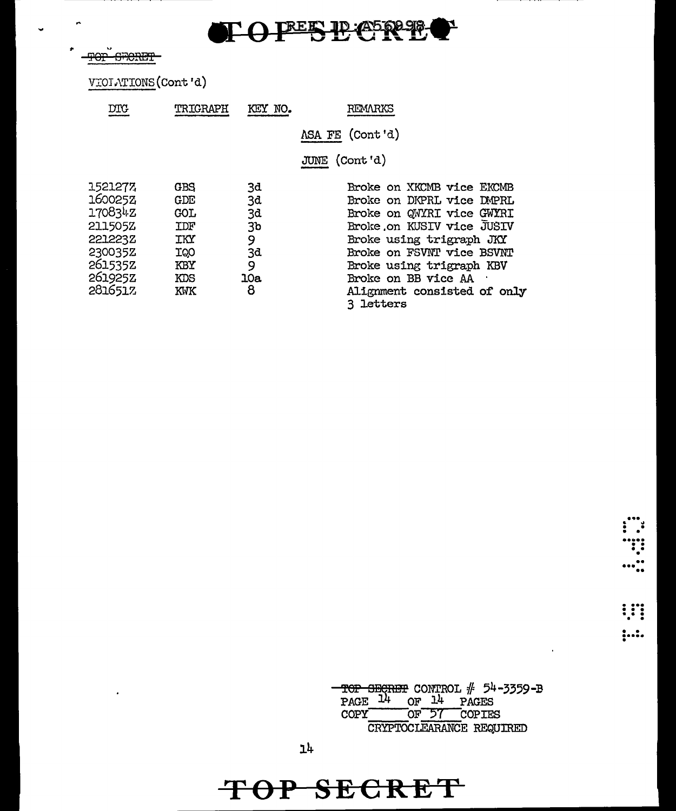

**TOP GRORET** 

 $\ddot{\phantom{0}}$ 

'n

J.

VIOIATIONS (Cont'd)

| DTG     | TRIGRAPH   | KEY NO.        | REMARKS                    |
|---------|------------|----------------|----------------------------|
|         |            |                | ASA FE (Cont'd)            |
|         |            |                | JUNE (Cont'd)              |
| 1521277 | GBS        | 3d             | Broke on XKCMB vice EKCMB  |
| 160025Z | GDE        | 3d             | Broke on DKPRL vice DMPRL  |
| 170834Z | <b>GOL</b> | 3d             | Broke on QWYRI vice GWYRI  |
| 211505Z | IDF        | 3 <sub>b</sub> | Broke on KUSIV vice JUSIV  |
| 221223Z | IKY        | 9              | Broke using trigraph JKY   |
| 230035Z | IQO        | 3d             | Broke on FSVNT vice BSVNT  |
| 261535Z | KBY        | 9              | Broke using trigraph KBV   |
| 261925Z | KDS        | 10a            | Broke on BB vice AA        |
| 281651% | KWK        | 8              | Alignment consisted of on. |
|         |            |                | 3 letters                  |

 $\cdot$ 

 $\vdots$ 

 $\ddot{}}$ 

TOP SECRET CONTROL  $#$  54-3359-B<br>PAGE  $14$  OF  $14$  PAGES OF 57 COPIES COPY<sup>-</sup> CRYPTOCLEARANCE REQUIRED

only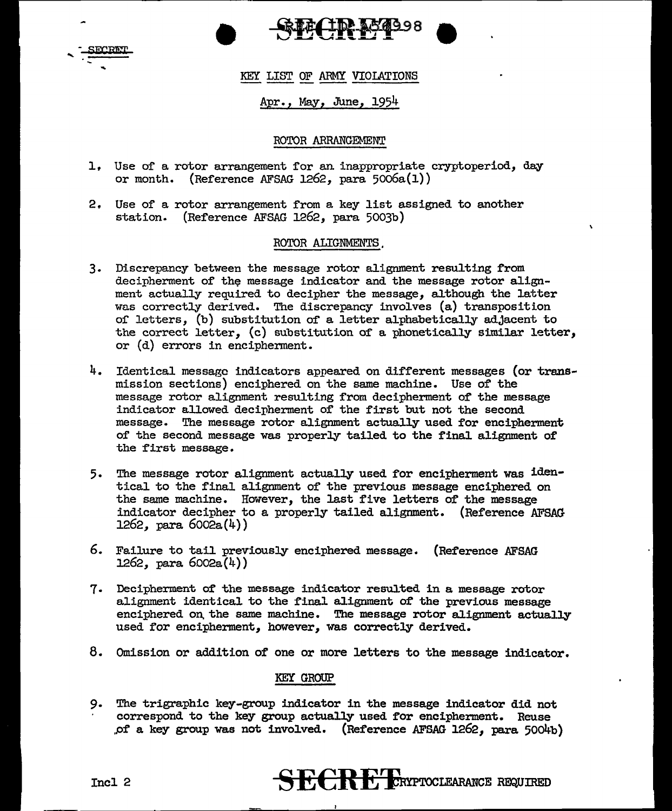



### KEY LIST OF ARMY VIOIATIONS

### Apr. , May, June, 1954

### ROTOR ARRANGEMENT

- 1, Use of a rotor arrangement for an inappropriate cryptoperiod, day or month. (Reference AFSAG 1262, para  $5006a(1)$ )
- 2, Use of a rotor arrangement from a key list assigned to another station. (Reference AFSAG 1262, para 5003b)

#### ROTOR ALIGNMENTS,

- 3. Discrepancy between the message rotor alignment resulting from decipherment of the message indicator and the message rotor alignment actually required to decipher the message, although the latter was correctly derived. The discrepancy involves (a) transposition or letters, (b) substitution of a letter alphabetically adjacent to the correct letter, (c) substitution of a phonetically similar letter, or (d) errors in encipherment.
- 4. Identical message indicators appeared on different messages (or transmission sections) enciphered on the same machine. Use of the message rotor alignment resulting from decipherment of the message indicator allowed decipherment of the first but not the second message. The message rotor alignment actually used for encipherment of the second message was properly tailed to the final alignment of the first message.
- 5. The message rotor alignment actually used for encipherment was identical to the final alignment of the previous message enciphered on the same machine. However, the last five letters of the message indicator decipher to a properly tailed alignment. (Reference AFSAG 1262, para 6002a(4))
- 6. Failure to tail previously enciphered message. (Reference AFSAG 1262, para 6002a(4))
- 7. Decipherment of the message indicator resulted in a message rotor alignment identical to the final alignment of the previous message enciphered on the same machine. The message rotor alignment actually used for encipherment, however, was correctly derived.
- 8. Omission or addition of one or more letters to the message indicator.

### KEY GROUP

9. The trigraphic key-group indicator in the message indicator did not correspond to the key group actually used for encipherment. Reuse *.Pf* a key group was not involved. (Reference AFSAG 1262, para 5004b)

## Incl 2 **SECRET CRYPTOCLEARANCE** REQUIRED